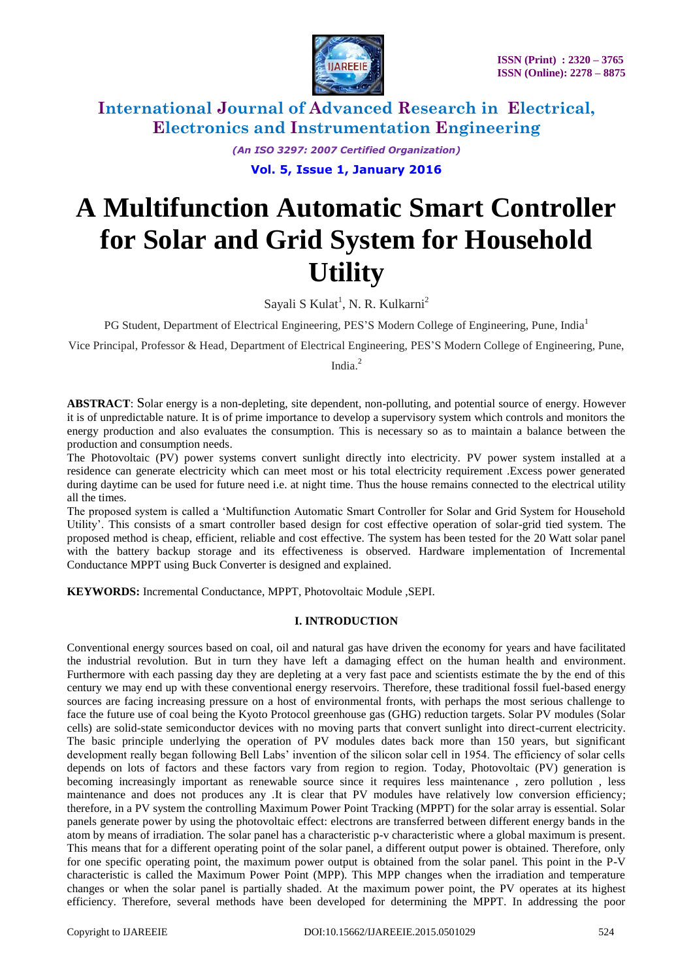

*(An ISO 3297: 2007 Certified Organization)*

**Vol. 5, Issue 1, January 2016**

# **A Multifunction Automatic Smart Controller for Solar and Grid System for Household Utility**

Sayali S Kulat<sup>1</sup>, N. R. Kulkarni<sup>2</sup>

PG Student, Department of Electrical Engineering, PES'S Modern College of Engineering, Pune, India<sup>1</sup>

Vice Principal, Professor & Head, Department of Electrical Engineering, PES'S Modern College of Engineering, Pune,

India.<sup>2</sup>

**ABSTRACT**: Solar energy is a non-depleting, site dependent, non-polluting, and potential source of energy. However it is of unpredictable nature. It is of prime importance to develop a supervisory system which controls and monitors the energy production and also evaluates the consumption. This is necessary so as to maintain a balance between the production and consumption needs.

The Photovoltaic (PV) power systems convert sunlight directly into electricity. PV power system installed at a residence can generate electricity which can meet most or his total electricity requirement .Excess power generated during daytime can be used for future need i.e. at night time. Thus the house remains connected to the electrical utility all the times.

The proposed system is called a 'Multifunction Automatic Smart Controller for Solar and Grid System for Household Utility'. This consists of a smart controller based design for cost effective operation of solar-grid tied system. The proposed method is cheap, efficient, reliable and cost effective. The system has been tested for the 20 Watt solar panel with the battery backup storage and its effectiveness is observed. Hardware implementation of Incremental Conductance MPPT using Buck Converter is designed and explained.

**KEYWORDS:** Incremental Conductance, MPPT, Photovoltaic Module ,SEPI.

## **I. INTRODUCTION**

Conventional energy sources based on coal, oil and natural gas have driven the economy for years and have facilitated the industrial revolution. But in turn they have left a damaging effect on the human health and environment. Furthermore with each passing day they are depleting at a very fast pace and scientists estimate the by the end of this century we may end up with these conventional energy reservoirs. Therefore, these traditional fossil fuel-based energy sources are facing increasing pressure on a host of environmental fronts, with perhaps the most serious challenge to face the future use of coal being the Kyoto Protocol greenhouse gas (GHG) reduction targets. Solar PV modules (Solar cells) are solid-state semiconductor devices with no moving parts that convert sunlight into direct-current electricity. The basic principle underlying the operation of PV modules dates back more than 150 years, but significant development really began following Bell Labs' invention of the silicon solar cell in 1954. The efficiency of solar cells depends on lots of factors and these factors vary from region to region. Today, Photovoltaic (PV) generation is becoming increasingly important as renewable source since it requires less maintenance , zero pollution , less maintenance and does not produces any .It is clear that PV modules have relatively low conversion efficiency; therefore, in a PV system the controlling Maximum Power Point Tracking (MPPT) for the solar array is essential. Solar panels generate power by using the photovoltaic effect: electrons are transferred between different energy bands in the atom by means of irradiation. The solar panel has a characteristic p-v characteristic where a global maximum is present. This means that for a different operating point of the solar panel, a different output power is obtained. Therefore, only for one specific operating point, the maximum power output is obtained from the solar panel. This point in the P-V characteristic is called the Maximum Power Point (MPP). This MPP changes when the irradiation and temperature changes or when the solar panel is partially shaded. At the maximum power point, the PV operates at its highest efficiency. Therefore, several methods have been developed for determining the MPPT. In addressing the poor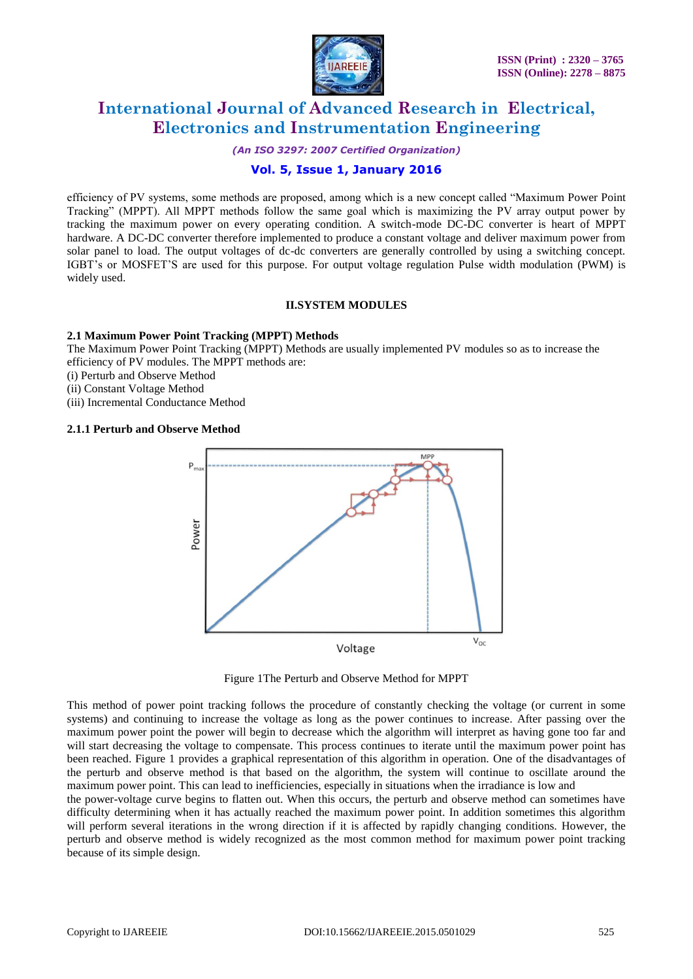

*(An ISO 3297: 2007 Certified Organization)*

# **Vol. 5, Issue 1, January 2016**

efficiency of PV systems, some methods are proposed, among which is a new concept called "Maximum Power Point" Tracking" (MPPT). All MPPT methods follow the same goal which is maximizing the PV array output power by tracking the maximum power on every operating condition. A switch-mode DC-DC converter is heart of MPPT hardware. A DC-DC converter therefore implemented to produce a constant voltage and deliver maximum power from solar panel to load. The output voltages of dc-dc converters are generally controlled by using a switching concept. IGBT's or MOSFET'S are used for this purpose. For output voltage regulation Pulse width modulation (PWM) is widely used.

### **II.SYSTEM MODULES**

#### **2.1 Maximum Power Point Tracking (MPPT) Methods**

The Maximum Power Point Tracking (MPPT) Methods are usually implemented PV modules so as to increase the efficiency of PV modules. The MPPT methods are:

- (i) Perturb and Observe Method
- (ii) Constant Voltage Method
- (iii) Incremental Conductance Method

#### **2.1.1 Perturb and Observe Method**



Figure 1The Perturb and Observe Method for MPPT

This method of power point tracking follows the procedure of constantly checking the voltage (or current in some systems) and continuing to increase the voltage as long as the power continues to increase. After passing over the maximum power point the power will begin to decrease which the algorithm will interpret as having gone too far and will start decreasing the voltage to compensate. This process continues to iterate until the maximum power point has been reached. Figure 1 provides a graphical representation of this algorithm in operation. One of the disadvantages of the perturb and observe method is that based on the algorithm, the system will continue to oscillate around the maximum power point. This can lead to inefficiencies, especially in situations when the irradiance is low and

the power-voltage curve begins to flatten out. When this occurs, the perturb and observe method can sometimes have difficulty determining when it has actually reached the maximum power point. In addition sometimes this algorithm will perform several iterations in the wrong direction if it is affected by rapidly changing conditions. However, the perturb and observe method is widely recognized as the most common method for maximum power point tracking because of its simple design.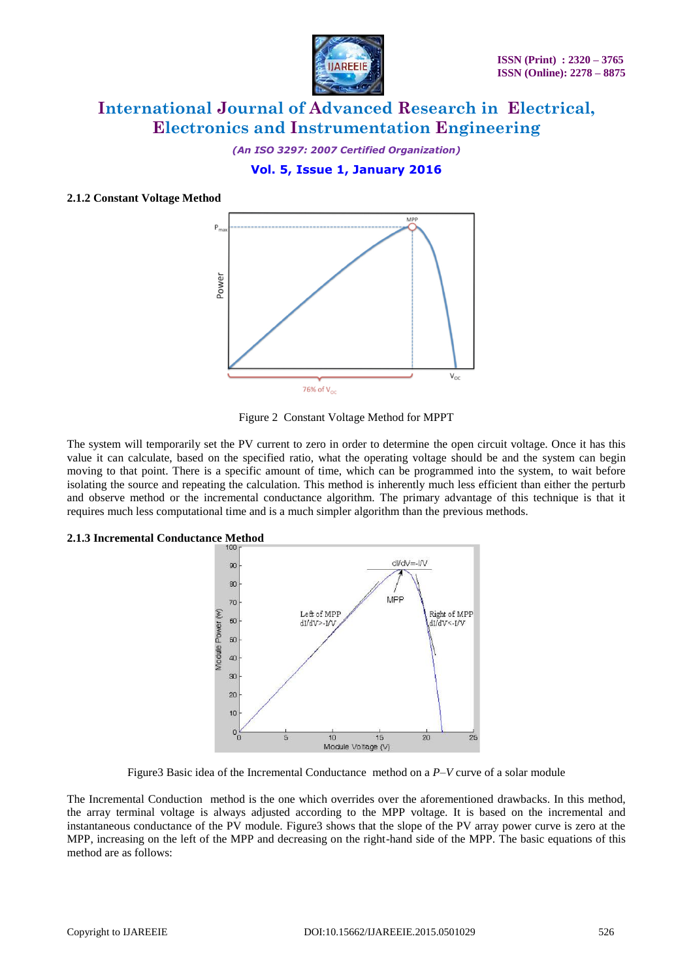

*(An ISO 3297: 2007 Certified Organization)*

## **Vol. 5, Issue 1, January 2016**

#### **2.1.2 Constant Voltage Method**



Figure 2 Constant Voltage Method for MPPT

The system will temporarily set the PV current to zero in order to determine the open circuit voltage. Once it has this value it can calculate, based on the specified ratio, what the operating voltage should be and the system can begin moving to that point. There is a specific amount of time, which can be programmed into the system, to wait before isolating the source and repeating the calculation. This method is inherently much less efficient than either the perturb and observe method or the incremental conductance algorithm. The primary advantage of this technique is that it requires much less computational time and is a much simpler algorithm than the previous methods.

#### **2.1.3 Incremental Conductance Method**



Figure3 Basic idea of the Incremental Conductance method on a *P*–*V* curve of a solar module

The Incremental Conduction method is the one which overrides over the aforementioned drawbacks. In this method, the array terminal voltage is always adjusted according to the MPP voltage. It is based on the incremental and instantaneous conductance of the PV module. Figure3 shows that the slope of the PV array power curve is zero at the MPP, increasing on the left of the MPP and decreasing on the right-hand side of the MPP. The basic equations of this method are as follows: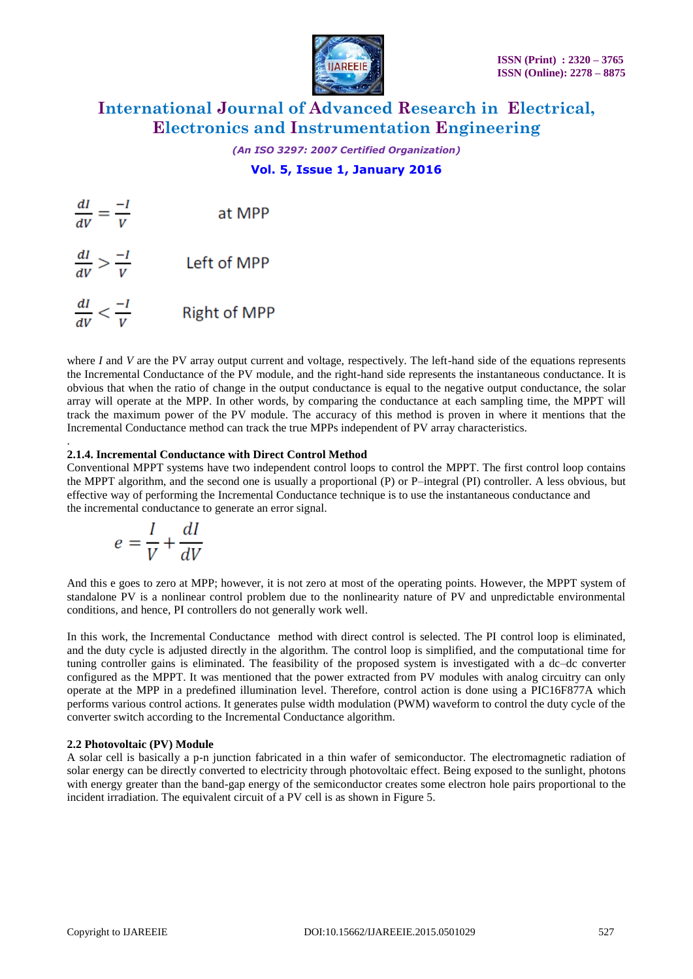

*(An ISO 3297: 2007 Certified Organization)*

# **Vol. 5, Issue 1, January 2016**

 $\frac{dI}{dV} = \frac{-I}{V}$ at MPP  $\frac{dI}{dV} > \frac{-I}{V}$  Left of MPP  $\frac{dI}{dV} < \frac{-I}{V}$ **Right of MPP** 

where *I* and *V* are the PV array output current and voltage, respectively. The left-hand side of the equations represents the Incremental Conductance of the PV module, and the right-hand side represents the instantaneous conductance. It is obvious that when the ratio of change in the output conductance is equal to the negative output conductance, the solar array will operate at the MPP. In other words, by comparing the conductance at each sampling time, the MPPT will track the maximum power of the PV module. The accuracy of this method is proven in where it mentions that the Incremental Conductance method can track the true MPPs independent of PV array characteristics.

#### . **2.1.4. Incremental Conductance with Direct Control Method**

Conventional MPPT systems have two independent control loops to control the MPPT. The first control loop contains the MPPT algorithm, and the second one is usually a proportional (P) or P–integral (PI) controller. A less obvious, but effective way of performing the Incremental Conductance technique is to use the instantaneous conductance and the incremental conductance to generate an error signal.

$$
e = \frac{I}{V} + \frac{dI}{dV}
$$

And this e goes to zero at MPP; however, it is not zero at most of the operating points. However, the MPPT system of standalone PV is a nonlinear control problem due to the nonlinearity nature of PV and unpredictable environmental conditions, and hence, PI controllers do not generally work well.

In this work, the Incremental Conductance method with direct control is selected. The PI control loop is eliminated, and the duty cycle is adjusted directly in the algorithm. The control loop is simplified, and the computational time for tuning controller gains is eliminated. The feasibility of the proposed system is investigated with a dc–dc converter configured as the MPPT. It was mentioned that the power extracted from PV modules with analog circuitry can only operate at the MPP in a predefined illumination level. Therefore, control action is done using a PIC16F877A which performs various control actions. It generates pulse width modulation (PWM) waveform to control the duty cycle of the converter switch according to the Incremental Conductance algorithm.

#### **2.2 Photovoltaic (PV) Module**

A solar cell is basically a p-n junction fabricated in a thin wafer of semiconductor. The electromagnetic radiation of solar energy can be directly converted to electricity through photovoltaic effect. Being exposed to the sunlight, photons with energy greater than the band-gap energy of the semiconductor creates some electron hole pairs proportional to the incident irradiation. The equivalent circuit of a PV cell is as shown in Figure 5.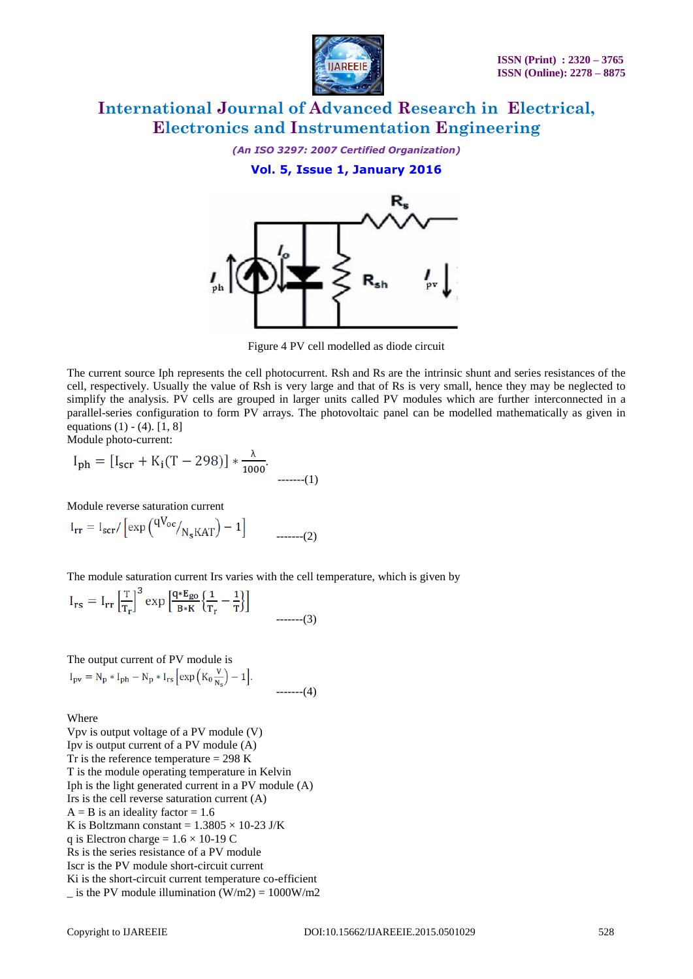

*(An ISO 3297: 2007 Certified Organization)*

**Vol. 5, Issue 1, January 2016**



Figure 4 PV cell modelled as diode circuit

The current source Iph represents the cell photocurrent. Rsh and Rs are the intrinsic shunt and series resistances of the cell, respectively. Usually the value of Rsh is very large and that of Rs is very small, hence they may be neglected to simplify the analysis. PV cells are grouped in larger units called PV modules which are further interconnected in a parallel-series configuration to form PV arrays. The photovoltaic panel can be modelled mathematically as given in equations  $(1) - (4)$ .  $[1, 8]$ 

Module photo-current:

$$
I_{\rm ph} = [I_{\rm scr} + K_i(T - 298)] * \frac{\lambda}{1000}.
$$

Module reverse saturation current

$$
I_{rr} = I_{scr} / \left[ exp\left( {}^{qV_{oc}} / {}_{N_sKAT} \right) - 1 \right] \qquad \qquad _{\ldots \ldots -(2)}
$$

The module saturation current Irs varies with the cell temperature, which is given by

$$
I_{rs} = I_{rr} \left[ \frac{T}{T_r} \right]^3 \exp \left[ \frac{q * E_{go}}{B * K} \left\{ \frac{1}{T_r} - \frac{1}{T} \right\} \right]
$$
  
........(3)

The output current of PV module is  $I_{pv} = N_p * I_{ph} - N_p * I_{rs} \left[ exp(K_0 \frac{v}{N_s}) - 1 \right].$ -------(4)

Where

Vpv is output voltage of a PV module (V) Ipv is output current of a PV module (A) Tr is the reference temperature  $= 298$  K T is the module operating temperature in Kelvin Iph is the light generated current in a PV module (A) Irs is the cell reverse saturation current (A)  $A = B$  is an ideality factor = 1.6 K is Boltzmann constant =  $1.3805 \times 10-23$  J/K q is Electron charge =  $1.6 \times 10$ -19 C Rs is the series resistance of a PV module Iscr is the PV module short-circuit current Ki is the short-circuit current temperature co-efficient  $\leq$  is the PV module illumination (W/m2) = 1000W/m2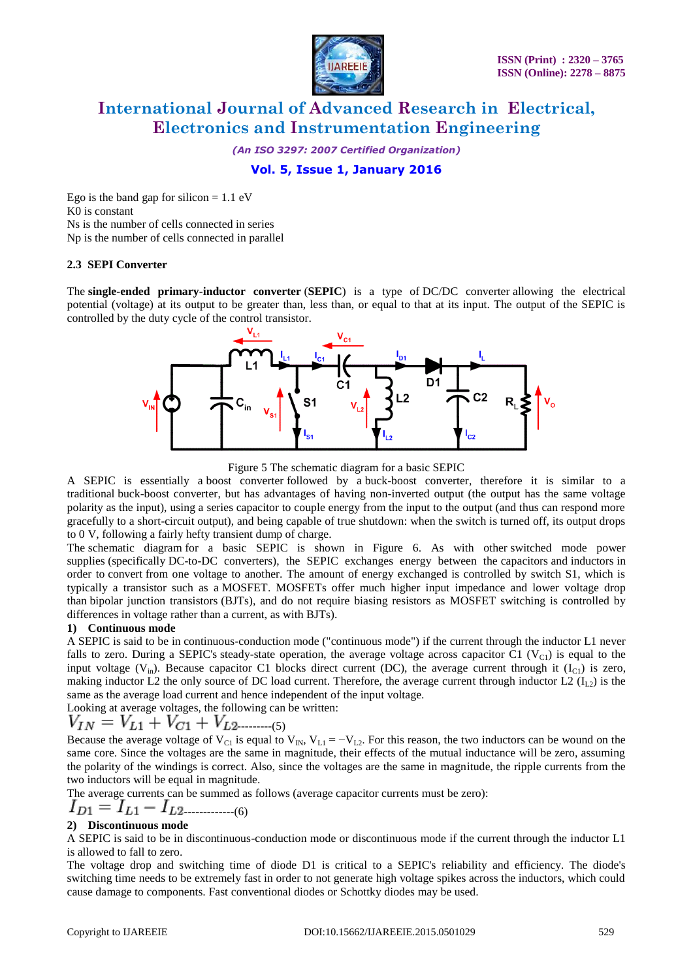

*(An ISO 3297: 2007 Certified Organization)*

# **Vol. 5, Issue 1, January 2016**

Ego is the band gap for silicon  $= 1.1$  eV K0 is constant Ns is the number of cells connected in series Np is the number of cells connected in parallel

## **2.3 SEPI Converter**

The **single-ended primary-inductor converter** (**SEPIC**) is a type of [DC/DC converter](https://en.wikipedia.org/wiki/DC-to-DC_converter) allowing the electrical potential [\(voltage\)](https://en.wikipedia.org/wiki/Voltage) at its output to be greater than, less than, or equal to that at its input. The output of the SEPIC is controlled by the [duty cycle](https://en.wikipedia.org/wiki/Duty_cycle) of the control transistor.





A SEPIC is essentially a [boost converter](https://en.wikipedia.org/wiki/Boost_converter) followed by a [buck-boost converter,](https://en.wikipedia.org/wiki/Buck-boost_converter) therefore it is similar to a traditional [buck-boost converter,](https://en.wikipedia.org/wiki/Buck-boost_converter) but has advantages of having non-inverted output (the output has the same voltage polarity as the input), using a series capacitor to couple energy from the input to the output (and thus can respond more gracefully to a short-circuit output), and being capable of true shutdown: when the switch is turned off, its output drops to 0 V, following a fairly hefty transient dump of charge.

The [schematic diagram](https://en.wikipedia.org/wiki/Circuit_diagram) for a basic SEPIC is shown in Figure 6. As with other switched mode power supplies (specifically [DC-to-DC converters\)](https://en.wikipedia.org/wiki/DC-to-DC_converter), the SEPIC exchanges energy between the [capacitors](https://en.wikipedia.org/wiki/Capacitor) and [inductors](https://en.wikipedia.org/wiki/Inductor) in order to [convert](https://en.wikipedia.org/wiki/DC-to-DC_converter) from one voltage to another. The amount of energy exchanged is controlled by switch S1, which is typically a transistor such as a [MOSFET.](https://en.wikipedia.org/wiki/MOSFET) MOSFETs offer much higher input impedance and lower voltage drop than [bipolar junction transistors](https://en.wikipedia.org/wiki/Bipolar_junction_transistor) [\(BJTs\)](https://en.wikipedia.org/wiki/BJT), and do not require biasing resistors as MOSFET switching is controlled by differences in voltage rather than a current, as with BJTs).

#### **1) Continuous mode**

A SEPIC is said to be in continuous-conduction mode ("continuous mode") if the [current](https://en.wikipedia.org/wiki/Electric_current) through the inductor L1 never falls to zero. During a SEPIC's [steady-state](https://en.wikipedia.org/wiki/Steady-state) operation, the average voltage across capacitor C1 ( $V_{C1}$ ) is equal to the input voltage  $(V_{in})$ . Because capacitor C1 blocks direct current (DC), the average current through it  $(I_{C1})$  is zero, making inductor L2 the only source of DC load current. Therefore, the average current through inductor L2 ( $I_{L2}$ ) is the same as the average load current and hence independent of the input voltage. be written:

Looking at average voltages, the following can be  

$$
V_{IN} = V_{L1} + V_{C1} + V_{L2}
$$
........(5)

Because the average voltage of  $V_{C1}$  is equal to  $V_{IN}$ ,  $V_{L1} = -V_{L2}$ . For this reason, the two inductors can be wound on the same core. Since the voltages are the same in magnitude, their effects of the mutual inductance will be zero, assuming the polarity of the windings is correct. Also, since the voltages are the same in magnitude, the ripple currents from the two inductors will be equal in magnitude.

The average currents can be summed as follows (average capacitor currents must be zero): 
$$
\mathbf{r}
$$

$$
I_{D1} = I_{L1} - I_{L2}
$$
............(6)

## **2) Discontinuous mode**

A SEPIC is said to be in discontinuous-conduction mode or discontinuous mode if the [current](https://en.wikipedia.org/wiki/Electric_current) through the inductor L1 is allowed to fall to zero.

The voltage drop and switching time of diode D1 is critical to a SEPIC's reliability and efficiency. The diode's switching time needs to be extremely fast in order to not generate high voltage spikes across the inductors, which could cause damage to components. Fast [conventional diodes](https://en.wikipedia.org/wiki/Diode) or [Schottky diodes](https://en.wikipedia.org/wiki/Schottky_diode) may be used.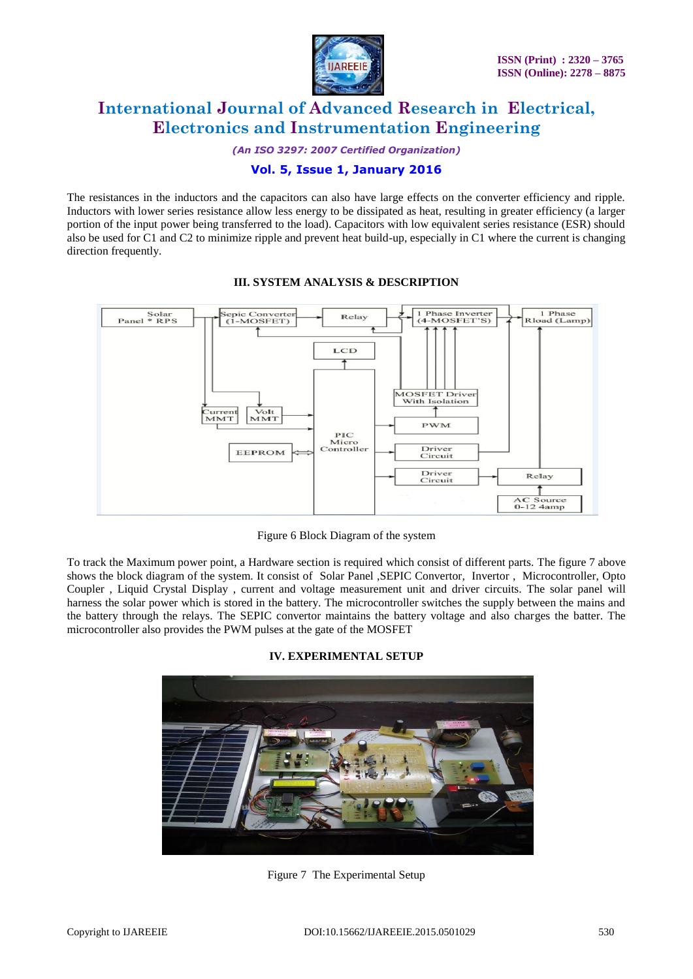

*(An ISO 3297: 2007 Certified Organization)*

# **Vol. 5, Issue 1, January 2016**

The resistances in the inductors and the capacitors can also have large effects on the converter efficiency and ripple. Inductors with lower series resistance allow less energy to be dissipated as heat, resulting in greater efficiency (a larger portion of the input power being transferred to the load). Capacitors with low equivalent series resistance (ESR) should also be used for C1 and C2 to minimize ripple and prevent heat build-up, especially in C1 where the current is changing direction frequently.



### **III. SYSTEM ANALYSIS & DESCRIPTION**

Figure 6 Block Diagram of the system

To track the Maximum power point, a Hardware section is required which consist of different parts. The figure 7 above shows the block diagram of the system. It consist of Solar Panel ,SEPIC Convertor, Invertor , Microcontroller, Opto Coupler , Liquid Crystal Display , current and voltage measurement unit and driver circuits. The solar panel will harness the solar power which is stored in the battery. The microcontroller switches the supply between the mains and the battery through the relays. The SEPIC convertor maintains the battery voltage and also charges the batter. The microcontroller also provides the PWM pulses at the gate of the MOSFET

## **IV. EXPERIMENTAL SETUP**



Figure 7 The Experimental Setup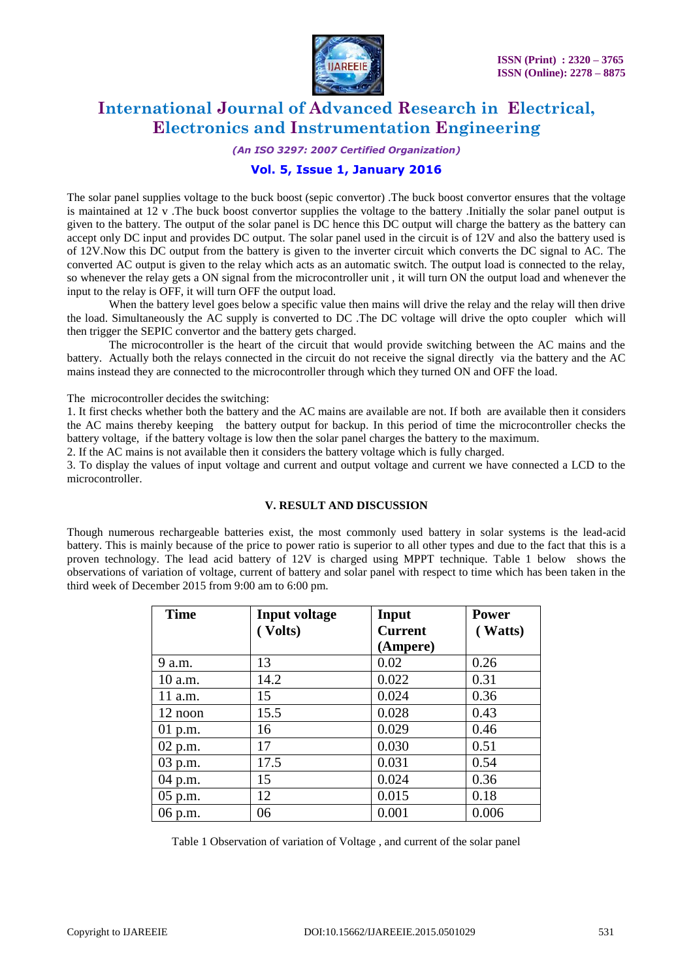

*(An ISO 3297: 2007 Certified Organization)*

## **Vol. 5, Issue 1, January 2016**

The solar panel supplies voltage to the buck boost (sepic convertor) .The buck boost convertor ensures that the voltage is maintained at 12 v .The buck boost convertor supplies the voltage to the battery .Initially the solar panel output is given to the battery. The output of the solar panel is DC hence this DC output will charge the battery as the battery can accept only DC input and provides DC output. The solar panel used in the circuit is of 12V and also the battery used is of 12V.Now this DC output from the battery is given to the inverter circuit which converts the DC signal to AC. The converted AC output is given to the relay which acts as an automatic switch. The output load is connected to the relay, so whenever the relay gets a ON signal from the microcontroller unit , it will turn ON the output load and whenever the input to the relay is OFF, it will turn OFF the output load.

When the battery level goes below a specific value then mains will drive the relay and the relay will then drive the load. Simultaneously the AC supply is converted to DC .The DC voltage will drive the opto coupler which will then trigger the SEPIC convertor and the battery gets charged.

The microcontroller is the heart of the circuit that would provide switching between the AC mains and the battery. Actually both the relays connected in the circuit do not receive the signal directly via the battery and the AC mains instead they are connected to the microcontroller through which they turned ON and OFF the load.

The microcontroller decides the switching:

1. It first checks whether both the battery and the AC mains are available are not. If both are available then it considers the AC mains thereby keeping the battery output for backup. In this period of time the microcontroller checks the battery voltage, if the battery voltage is low then the solar panel charges the battery to the maximum.

2. If the AC mains is not available then it considers the battery voltage which is fully charged.

3. To display the values of input voltage and current and output voltage and current we have connected a LCD to the microcontroller.

#### **V. RESULT AND DISCUSSION**

Though numerous rechargeable batteries exist, the most commonly used battery in solar systems is the lead-acid battery. This is mainly because of the price to power ratio is superior to all other types and due to the fact that this is a proven technology. The lead acid battery of 12V is charged using MPPT technique. Table 1 below shows the observations of variation of voltage, current of battery and solar panel with respect to time which has been taken in the third week of December 2015 from 9:00 am to 6:00 pm.

| <b>Time</b> | <b>Input voltage</b><br>(Volts) | Input<br><b>Current</b> | <b>Power</b><br>(Watts) |
|-------------|---------------------------------|-------------------------|-------------------------|
|             |                                 | (Ampere)                |                         |
| 9 a.m.      | 13                              | 0.02                    | 0.26                    |
| $10$ a.m.   | 14.2                            | 0.022                   | 0.31                    |
| 11 a.m.     | 15                              | 0.024                   | 0.36                    |
| 12 noon     | 15.5                            | 0.028                   | 0.43                    |
| $01$ p.m.   | 16                              | 0.029                   | 0.46                    |
| $02$ p.m.   | 17                              | 0.030                   | 0.51                    |
| 03 p.m.     | 17.5                            | 0.031                   | 0.54                    |
| 04 p.m.     | 15                              | 0.024                   | 0.36                    |
| 05 p.m.     | 12                              | 0.015                   | 0.18                    |
| 06 p.m.     | 06                              | 0.001                   | 0.006                   |

Table 1 Observation of variation of Voltage , and current of the solar panel